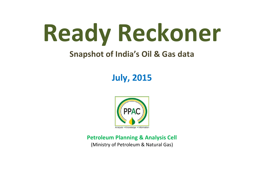

## **Snapshot of India's Oil & Gas data**

# **July, 2015**



**Petroleum Planning & Analysis Cell**

(Ministry of Petroleum & Natural Gas)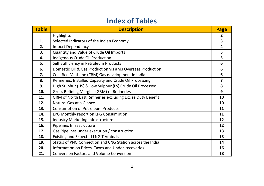### **Index of Tables**

| <b>Table</b> | <b>Description</b>                                          | Page |
|--------------|-------------------------------------------------------------|------|
|              | Highlights                                                  | 2    |
| 1.           | Selected Indicators of the Indian Economy                   | 3    |
| 2.           | Import Dependency                                           | 4    |
| 3.           | Quantity and Value of Crude Oil Imports                     | 5    |
| 4.           | Indigenous Crude Oil Production                             | 5    |
| 5.           | Self Sufficiency in Petroleum Products                      | 6    |
| 6.           | Domestic Oil & Gas Production vis a vis Overseas Production | 6    |
| 7.           | Coal Bed Methane (CBM) Gas development in India             | 6    |
| 8.           | Refineries: Installed Capacity and Crude Oil Processing     | 7    |
| 9.           | High Sulphur (HS) & Low Sulphur (LS) Crude Oil Processed    | 8    |
| 10.          | Gross Refining Margins (GRM) of Refineries                  | 9    |
| 11.          | GRM of North East Refineries excluding Excise Duty Benefit  | 10   |
| 12.          | Natural Gas at a Glance                                     | 10   |
| 13.          | <b>Consumption of Petroleum Products</b>                    | 11   |
| 14.          | LPG Monthly report on LPG Consumption                       | 11   |
| 15.          | Industry Marketing Infrastructure                           | 12   |
| 16.          | Pipelines Infrastructure                                    | 12   |
| 17.          | Gas Pipelines under execution / construction                | 13   |
| 18.          | <b>Existing and Expected LNG Terminals</b>                  | 13   |
| 19.          | Status of PNG Connection and CNG Station across the India   | 14   |
| 20.          | Information on Prices, Taxes and Under-recoveries           | 16   |
| 21.          | <b>Conversion Factors and Volume Conversion</b>             | 18   |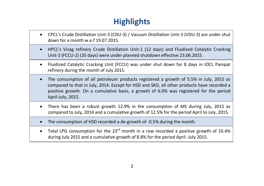# **Highlights**

- CPCL's Crude Distillation Unit-3 (CDU-3) / Vacuum Distillation Unit-3 (VDU-3) are under shut down for a month w.e.f 19.07.2015.
- HPCL's Vizag refinery Crude Distillation Unit-1 (12 days) and Fluidized Catalytic Cracking Unit-2 (FCCU-2) (35 days) were under planned shutdown effective 23.06.2015.
- Fluidized Catalytic Cracking Unit (FCCU) was under shut down for 8 days in IOCL Panipat refinery during the month of July 2015.
- The consumption of all petroleum products registered a growth of 5.5% in July, 2015 as compared to that in July, 2014. Except for HSD and SKO, all other products have recorded a positive growth. On a cumulative basis, a growth of 6.0% was registered for the period April-July, 2015.
- There has been a robust growth 12.9% in the consumption of MS during July, 2015 as compared to July, 2014 and a cumulative growth of 12.5% for the period April to July, 2015.
- The consumption of HSD recorded a de-growth of -0.5% during the month.
- Total LPG consumption for the 23<sup>rd</sup> month in a row recorded a positive growth of 10.4% during July 2015 and a cumulative growth of 8.8% for the period April -July 2015.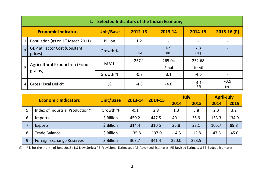|                | 1. Selected Indicators of the Indian Economy  |                  |             |                 |                  |                |  |  |  |  |  |  |
|----------------|-----------------------------------------------|------------------|-------------|-----------------|------------------|----------------|--|--|--|--|--|--|
|                | <b>Economic Indicators</b>                    | <b>Unit/Base</b> | 2012-13     | 2013-14         | 2014-15          | $2015 - 16(P)$ |  |  |  |  |  |  |
|                | Population (as on 1 <sup>st</sup> March 2011) | <b>Billion</b>   | 1.2         |                 |                  |                |  |  |  |  |  |  |
| $\overline{2}$ | GDP at Factor Cost (Constant<br>prices)       | Growth %         | 5.1<br>(NS) | 6.9<br>(NS)     | 7.3<br>(PE)      |                |  |  |  |  |  |  |
| 3              | <b>Agricultural Production (Food</b>          | MMT              | 257.1       | 265.04<br>Final | 252.68<br>4th AE |                |  |  |  |  |  |  |
|                | grains)                                       | Growth %         | $-0.8$      | 3.1             | $-4.6$           |                |  |  |  |  |  |  |
| 4              | <b>Gross Fiscal Deficit</b>                   | %                | $-4.8$      | $-4.6$          | -4.1<br>(RE)     | $-3.9$<br>(BE) |  |  |  |  |  |  |

|   | <b>Economic Indicators</b>      | <b>Unit/Base</b><br>2013-14 |          | 2014-15  | July    |         | <b>April-July</b> |         |
|---|---------------------------------|-----------------------------|----------|----------|---------|---------|-------------------|---------|
|   |                                 |                             |          |          | 2014    | 2015    | 2014              | 2015    |
| 5 | Index of Industrial Production@ | Growth %                    | $-0.1$   | 2.8      | 1.3     | 3.8     | 2.3               | 3.2     |
| 6 | Imports                         | \$ Billion                  | 450.2    | 447.5    | 40.1    | 35.9    | 153.3             | 134.9   |
|   | Exports                         | \$ Billion                  | 314.4    | 310.5    | 25.8    | 23.1    | 105.7             | 89.8    |
| 8 | Trade Balance                   | \$ Billion                  | $-135.8$ | $-137.0$ | $-14.3$ | $-12.8$ | $-47.5$           | $-45.0$ |
| 9 | Foreign Exchange Reserves       | \$ Billion                  | 303.7    | 341.4    | 320.0   | 353.5   |                   |         |

@ IIP is for the month of June 2015 ; NS-New Series; PE-Provisional Estimates ; AE-Advanced Estimates; RE-Revised Estimates; BE-Budget Estimates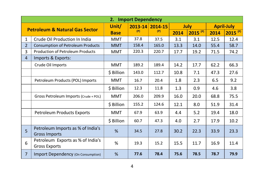|                |                                                           | 2.          | <b>Import Dependency</b> |         |      |              |      |                       |
|----------------|-----------------------------------------------------------|-------------|--------------------------|---------|------|--------------|------|-----------------------|
|                |                                                           | Unit/       | $2013 - 14$              | 2014-15 |      | <b>July</b>  |      | <b>April-July</b>     |
|                | <b>Petroleum &amp; Natural Gas Sector</b>                 | <b>Base</b> | (P)                      | (P)     | 2014 | $2015^{(P)}$ | 2014 | $2015$ <sup>(P)</sup> |
| $\mathbf{1}$   | Crude Oil Production In India                             | MMT         | 37.8                     | 37.5    | 3.1  | 3.1          | 12.5 | 12.4                  |
| $\overline{2}$ | <b>Consumption of Petroleum Products</b>                  | <b>MMT</b>  | 158.4                    | 165.0   | 13.3 | 14.0         | 55.4 | 58.7                  |
| 3              | <b>Production of Petroleum Products</b>                   | MMT         | 220.3                    | 220.7   | 17.7 | 19.2         | 71.5 | 74.2                  |
| $\overline{4}$ | Imports & Exports:                                        |             |                          |         |      |              |      |                       |
|                | Crude Oil Imports                                         | <b>MMT</b>  | 189.2                    | 189.4   | 14.2 | 17.7         | 62.2 | 66.3                  |
|                |                                                           | \$ Billion  | 143.0                    | 112.7   | 10.8 | 7.1          | 47.3 | 27.6                  |
|                | Petroleum Products (POL) Imports                          | <b>MMT</b>  | 16.7                     | 20.4    | 1.8  | 2.3          | 6.5  | 9.2                   |
|                |                                                           | \$ Billion  | 12.3                     | 11.8    | 1.3  | 0.9          | 4.6  | 3.8                   |
|                | Gross Petroleum Imports (Crude + POL)                     | MMT         | 206.0                    | 209.9   | 16.0 | 20.0         | 68.8 | 75.5                  |
|                |                                                           | \$Billion   | 155.2                    | 124.6   | 12.1 | 8.0          | 51.9 | 31.4                  |
|                | <b>Petroleum Products Exports</b>                         | MMT         | 67.9                     | 63.9    | 4.4  | 5.2          | 19.4 | 18.0                  |
|                |                                                           | \$ Billion  | 60.7                     | 47.3    | 4.0  | 2.7          | 17.9 | 10.2                  |
| 5              | Petroleum Imports as % of India's<br><b>Gross Imports</b> | %           | 34.5                     | 27.8    | 30.2 | 22.3         | 33.9 | 23.3                  |
| 6              | Petroleum Exports as % of India's<br><b>Gross Exports</b> | %           | 19.3                     | 15.2    | 15.5 | 11.7         | 16.9 | 11.4                  |
| $\overline{7}$ | Import Dependency (On Consumption)                        | %           | 77.6                     | 78.4    | 75.6 | 78.5         | 78.7 | 79.9                  |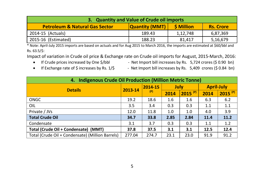| 3. Quantity and Value of Crude oil imports |                |                  |                  |  |  |  |  |  |  |  |
|--------------------------------------------|----------------|------------------|------------------|--|--|--|--|--|--|--|
| <b>Petroleum &amp; Natural Gas Sector</b>  | Quantity (MMT) | <b>S</b> Million | <b>Rs. Crore</b> |  |  |  |  |  |  |  |
| 2014-15 (Actuals)                          | 189.43         | 1,12,748         | 6,87,369         |  |  |  |  |  |  |  |
| 2015-16 (Estimated)                        | 188.23         | 81.417           | 5,16,679         |  |  |  |  |  |  |  |

\* Note: April-July 2015 imports are based on actuals and for Aug 2015 to March 2016, the imports are estimated at \$60/bbl and Rs. 63.5/\$:

Impact of variation in Crude oil price & Exchange rate on Crude oil imports for August, 2015-March, 2016:

• If Crude prices increased by One \$/bbl - Net Import bill increases by Rs. 5,724 crores (\$ 0.90 bn)

- 
- If Exchange rate of \$ increases by Rs. 1/\$ Net Import bill increases by Rs. 5,409 crores (\$ 0.84 bn)

| <b>Indigenous Crude Oil Production (Million Metric Tonne)</b><br>4. |         |         |      |                       |                   |                       |  |  |  |  |  |
|---------------------------------------------------------------------|---------|---------|------|-----------------------|-------------------|-----------------------|--|--|--|--|--|
| <b>Details</b>                                                      | 2013-14 | 2014-15 |      | July                  | <b>April-July</b> |                       |  |  |  |  |  |
|                                                                     |         | (P)     | 2014 | $2015$ <sup>(P)</sup> | 2014              | $2015$ <sup>(P)</sup> |  |  |  |  |  |
| ONGC                                                                | 19.2    | 18.6    | 1.6  | 1.6                   | 6.3               | 6.2                   |  |  |  |  |  |
| OIL                                                                 | 3.5     | 3.4     | 0.3  | 0.3                   | 1.1               | 1.1                   |  |  |  |  |  |
| Private / JVs                                                       | 12.0    | 11.8    | 1.0  | 1.0                   | 4.0               | 3.9                   |  |  |  |  |  |
| <b>Total Crude Oil</b>                                              | 34.7    | 33.8    | 2.85 | 2.84                  | 11.4              | 11.2                  |  |  |  |  |  |
| Condensate                                                          | 3.1     | 3.7     | 0.3  | 0.3                   | 1.1               | 1.2                   |  |  |  |  |  |
| Total (Crude Oil + Condensate) (MMT)                                | 37.8    | 37.5    | 3.1  | 3.1                   | 12.5              | 12.4                  |  |  |  |  |  |
| Total (Crude Oil + Condensate) (Million Barrels)                    | 277.04  | 274.7   | 23.1 | 23.0                  | 91.9              | 91.2                  |  |  |  |  |  |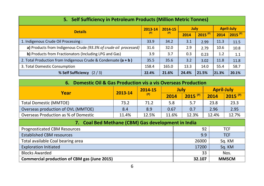| 5. Self Sufficiency in Petroleum Products (Million Metric Tonnes) |         |         |       |              |                   |                     |  |  |  |  |  |
|-------------------------------------------------------------------|---------|---------|-------|--------------|-------------------|---------------------|--|--|--|--|--|
| <b>Details</b>                                                    | 2013-14 | 2014-15 | July  |              | <b>April-July</b> |                     |  |  |  |  |  |
|                                                                   | (P)     | (P)     | 2014  | $2015^{(P)}$ | 2014              | 2015 <sup>(P)</sup> |  |  |  |  |  |
| 1. Indigenous Crude Oil Processing:                               | 33.9    | 34.2    | 3.1   | 2.99         | 11.3              | 11.5                |  |  |  |  |  |
| a) Products from Indigenous Crude (93.3% of crude oil processed)  | 31.6    | 32.0    | 2.9   | 2.79         | 10.6              |                     |  |  |  |  |  |
| b) Products from Fractionators (Including LPG and Gas)            | 3.9     | 3.7     | 0.3   | 0.23         | 1.2               | 1.1                 |  |  |  |  |  |
| 2. Total Production from Indigenous Crude & Condensate $(a + b)$  | 35.5    | 35.6    | 3.2   | 3.02         | 11.8              | 11.8                |  |  |  |  |  |
| 3. Total Domestic Consumption                                     | 158.4   | 165.0   | 13.3  | 14.0         | 55.4              | 58.7                |  |  |  |  |  |
| % Self Sufficiency<br>(2/3)                                       | 22.4%   | 21.6%   | 24.4% | 21.5%        | 21.3%             | 20.1%               |  |  |  |  |  |

| 3. Total Domestic Consumption                                                |         | 158.4   | 165.0 | 13.3                  | 14.0  | 55.4              | 58.7                  |  |  |  |  |
|------------------------------------------------------------------------------|---------|---------|-------|-----------------------|-------|-------------------|-----------------------|--|--|--|--|
| % Self Sufficiency<br>(2/3)                                                  | 22.4%   | 21.6%   | 24.4% | 21.5%                 | 21.3% | 20.1%             |                       |  |  |  |  |
|                                                                              |         |         |       |                       |       |                   |                       |  |  |  |  |
| <b>Domestic Oil &amp; Gas Production vis a vis Overseas Production</b><br>6. |         |         |       |                       |       |                   |                       |  |  |  |  |
| Year                                                                         | 2013-14 | 2014-15 |       | July                  |       | <b>April-July</b> |                       |  |  |  |  |
|                                                                              |         | (P)     | 2014  | $2015$ <sup>(P)</sup> |       | 2014              | $2015$ <sup>(P)</sup> |  |  |  |  |
| Total Domestic (MMTOE)                                                       | 73.2    | 71.2    | 5.8   | 5.7                   |       | 23.8              | 23.3                  |  |  |  |  |
| Overseas production of OVL (MMTOE)                                           | 8.4     | 8.9     | 0.67  | 0.7                   |       | 2.96              | 2.95                  |  |  |  |  |
| Overseas Production as % of Domestic                                         | 11.4%   | 12.5%   | 11.6% | 12.3%                 |       | 12.4%             | 12.7%                 |  |  |  |  |

| 7. Coal Bed Methane (CBM) Gas development in India |        |              |  |  |  |  |  |  |  |
|----------------------------------------------------|--------|--------------|--|--|--|--|--|--|--|
| <b>Prognosticated CBM Resources</b>                | 92     | TCF          |  |  |  |  |  |  |  |
| <b>Established CBM resources</b>                   | 9.9    | <b>TCF</b>   |  |  |  |  |  |  |  |
| Total available Coal bearing area                  | 26000  | Sg. KM       |  |  |  |  |  |  |  |
| <b>Exploration Initiated</b>                       | 17200  | Sq. KM       |  |  |  |  |  |  |  |
| <b>Blocks Awarded</b>                              | 33     | Nos.         |  |  |  |  |  |  |  |
| Commercial production of CBM gas (June 2015)       | 32.107 | <b>MMSCM</b> |  |  |  |  |  |  |  |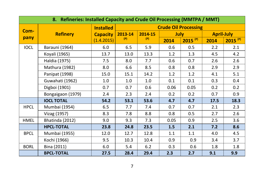|             | 8. Refineries: Installed Capacity and Crude Oil Processing (MMTPA / MMT) |                               |         |         |             |                             |                   |                       |  |  |  |  |  |  |
|-------------|--------------------------------------------------------------------------|-------------------------------|---------|---------|-------------|-----------------------------|-------------------|-----------------------|--|--|--|--|--|--|
|             |                                                                          | <b>Installed</b>              |         |         |             | <b>Crude Oil Processing</b> |                   |                       |  |  |  |  |  |  |
| Com-        | <b>Refinery</b>                                                          | <b>Capacity</b><br>(1.4.2015) | 2013-14 | 2014-15 | <b>July</b> |                             | <b>April-July</b> |                       |  |  |  |  |  |  |
| pany        |                                                                          |                               | (P)     | (P)     | 2014        | $2015^{(P)}$                | 2014              | $2015$ <sup>(P)</sup> |  |  |  |  |  |  |
| <b>IOCL</b> | Barauni (1964)                                                           | 6.0                           | 6.5     | 5.9     | 0.6         | 0.5                         | 2.2               | 2.1                   |  |  |  |  |  |  |
|             | Koyali (1965)                                                            | 13.7                          | 13.0    | 13.3    | 1.2         | 1.3                         | 4.5               | 4.2                   |  |  |  |  |  |  |
|             | Haldia (1975)                                                            | 7.5                           | 8.0     | 7.7     | 0.6         | 0.7                         | 2.6               | 2.6                   |  |  |  |  |  |  |
|             | Mathura (1982)                                                           | 8.0                           | 6.6     | 8.5     | 0.8         | 0.8                         | 2.9               | 2.9                   |  |  |  |  |  |  |
|             | Panipat (1998)                                                           | 15.0                          | 15.1    | 14.2    | 1.2         | 1.2                         | 4.1               | 5.1                   |  |  |  |  |  |  |
|             | Guwahati (1962)                                                          | 1.0                           | 1.0     | 1.0     | 0.1         | 0.1                         | 0.3               | 0.4                   |  |  |  |  |  |  |
|             | Digboi (1901)                                                            | 0.7                           | 0.7     | 0.6     | 0.06        | 0.05                        | 0.2               | 0.2                   |  |  |  |  |  |  |
|             | Bongaigaon (1979)                                                        | 2.4                           | 2.3     | 2.4     | 0.2         | 0.2                         | 0.7               | 0.9                   |  |  |  |  |  |  |
|             | <b>IOCL TOTAL</b>                                                        | 54.2                          | 53.1    | 53.6    | 4.7         | 4.7                         | 17.5              | 18.3                  |  |  |  |  |  |  |
| <b>HPCL</b> | Mumbai (1954)                                                            | 6.5                           | 7.7     | 7.4     | 0.7         | 0.7                         | 2.1               | 2.3                   |  |  |  |  |  |  |
|             | Vizag (1957)                                                             | 8.3                           | 7.8     | 8.8     | 0.8         | 0.5                         | 2.7               | 2.6                   |  |  |  |  |  |  |
| <b>HMEL</b> | Bhatinda (2012)                                                          | 9.0                           | 9.3     | 7.3     | 0.05        | 0.9                         | 2.5               | 3.6                   |  |  |  |  |  |  |
|             | <b>HPCL-TOTAL</b>                                                        | 23.8                          | 24.8    | 23.5    | 1.5         | 2.1                         | 7.2               | 8.6                   |  |  |  |  |  |  |
| <b>BPCL</b> | Mumbai (1955)                                                            | 12.0                          | 12.7    | 12.8    | 1.1         | 1.1                         | 4.0               | 4.5                   |  |  |  |  |  |  |
|             | Kochi (1966)                                                             | 9.5                           | 10.3    | 10.4    | 0.9         | 0.9                         | 3.4               | 3.7                   |  |  |  |  |  |  |
| <b>BORL</b> | Bina (2011)                                                              | 6.0                           | 5.4     | 6.2     | 0.3         | 0.6                         | 1.8               | 1.8                   |  |  |  |  |  |  |
|             | <b>BPCL-TOTAL</b>                                                        | 27.5                          | 28.4    | 29.4    | 2.3         | 2.7                         | 9.1               | 9.9                   |  |  |  |  |  |  |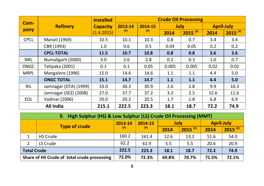|             |                       | <b>Installed</b> | <b>Crude Oil Processing</b> |         |       |                       |                   |                       |
|-------------|-----------------------|------------------|-----------------------------|---------|-------|-----------------------|-------------------|-----------------------|
| Com-        | <b>Refinery</b>       | <b>Capacity</b>  | 2013-14                     | 2014-15 |       | <b>July</b>           | <b>April-July</b> |                       |
| pany        |                       | (1.4.2015)       | (P)                         | (P)     | 2014  | $2015$ <sup>(P)</sup> | 2014              | $2015$ <sup>(P)</sup> |
| <b>CPCL</b> | Manali (1969)         | 10.5             | 10.1                        | 10.3    | 0.8   | 0.7                   | 3.4               | 3.4                   |
|             | CBR (1993)            | 1.0              | 0.6                         | 0.5     | 0.04  | 0.05                  | 0.2               | 0.2                   |
|             | <b>CPCL-TOTAL</b>     | 11.5             | 10.7                        | 10.8    | 0.8   | 0.8                   | 3.6               | 3.6                   |
| <b>NRL</b>  | Numaligarh (2000)     | 3.0              | 2.6                         | 2.8     | 0.2   | 0.3                   | 1.0               | 0.7                   |
| ONGC        | Tatipaka (2001)       | 0.1              | 0.1                         | 0.05    | 0.005 | 0.005                 | 0.02              | 0.02                  |
| <b>MRPL</b> | Mangalore (1996)      | 15.0             | 14.6                        | 14.6    | 1.1   | 1.1                   | 4.4               | 5.0                   |
|             | <b>ONGC TOTAL</b>     | 15.1             | 14.7                        | 14.7    | 1.1   | 1.1                   | 4.4               | 5.0                   |
| <b>RIL</b>  | Jamnagar (DTA) (1999) | 33.0             | 30.3                        | 30.9    | 2.6   | 2.8                   | 9.9               | 10.3                  |
|             | Jamnagar (SEZ) (2008) | 27.0             | 37.7                        | 37.2    | 3.2   | 2.5                   | 12.6              | 11.6                  |
| EOL         | Vadinar (2006)        | 20.0             | 20.2                        | 20.5    | 1.7   | 1.8                   | 6.8               | 6.9                   |
|             | All India             | 215.1            | 222.5                       | 223.3   | 18.1  | 18.7                  | 72.2              | 74.9                  |

|                    | 9. High Sulphur (HS) & Low Sulphur (LS) Crude Oil Processing (MMT) |                                                |                |       |                       |                   |                       |  |  |  |  |  |
|--------------------|--------------------------------------------------------------------|------------------------------------------------|----------------|-------|-----------------------|-------------------|-----------------------|--|--|--|--|--|
|                    | <b>Type of crude</b>                                               | 2013-14<br>(P)                                 | 2014-15<br>(P) | July  |                       | <b>April-July</b> |                       |  |  |  |  |  |
|                    |                                                                    |                                                |                | 2014  | $2015$ <sup>(P)</sup> | 2014              | $2015$ <sup>(P)</sup> |  |  |  |  |  |
|                    | HS Crude                                                           | 160.2                                          | 161.4          | 12.6  | 13.2                  | 51.6              | 54.0                  |  |  |  |  |  |
| 2                  | LS Crude                                                           | 62.2                                           | 61.9           | 5.5   | 5.5                   | 20.6              | 20.9                  |  |  |  |  |  |
| <b>Total Crude</b> |                                                                    | 222.5<br>223.3<br>74.9<br>72.2<br>18.1<br>18.7 |                |       |                       |                   |                       |  |  |  |  |  |
|                    | Share of HS Crude of total crude processing                        | 72.0%                                          | 72.3%          | 69.8% | 70.7%                 | 71.5%             | 72.1%                 |  |  |  |  |  |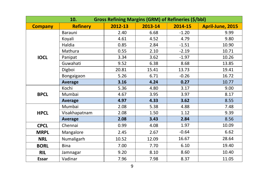|                | 10.             |         | <b>Gross Refining Margins (GRM) of Refineries (\$/bbl)</b> |         |                  |
|----------------|-----------------|---------|------------------------------------------------------------|---------|------------------|
| <b>Company</b> | <b>Refinery</b> | 2012-13 | 2013-14                                                    | 2014-15 | April-June, 2015 |
|                | Barauni         | 2.40    | 6.68                                                       | $-1.20$ | 9.99             |
|                | Koyali          | 4.61    | 4.52                                                       | 4.79    | 9.80             |
|                | Haldia          | 0.85    | 2.84                                                       | $-1.51$ | 10.90            |
|                | Mathura         | 0.55    | 2.10                                                       | $-2.19$ | 10.71            |
| <b>IOCL</b>    | Panipat         | 3.34    | 3.62                                                       | $-1.97$ | 10.26            |
|                | Guwahati        | 9.52    | 6.38                                                       | 8.68    | 13.85            |
|                | Digboi          | 20.81   | 15.41                                                      | 13.73   | 19.41            |
|                | Bongaigaon      | 5.26    | 6.71                                                       | $-0.26$ | 16.72            |
|                | <b>Average</b>  | 3.16    | 4.24                                                       | 0.27    | 10.77            |
| <b>BPCL</b>    | Kochi           | 5.36    | 4.80                                                       | 3.17    | 9.00             |
|                | Mumbai          | 4.67    | 3.95                                                       | 3.97    | 8.17             |
|                | <b>Average</b>  | 4.97    | 4.33                                                       | 3.62    | 8.55             |
|                | Mumbai          | 2.08    | 5.38                                                       | 4.88    | 7.48             |
| <b>HPCL</b>    | Visakhapatnam   | 2.08    | 1.50                                                       | 1.12    | 9.39             |
|                | <b>Average</b>  | 2.08    | 3.43                                                       | 2.84    | 8.56             |
| <b>CPCL</b>    | Chennai         | 0.99    | 4.08                                                       | 1.97    | 10.09            |
| <b>MRPL</b>    | Mangalore       | 2.45    | 2.67                                                       | $-0.64$ | 6.62             |
| <b>NRL</b>     | Numaligarh      | 10.52   | 12.09                                                      | 16.67   | 28.64            |
| <b>BORL</b>    | <b>Bina</b>     | 7.00    | 7.70                                                       | 6.10    | 19.40            |
| <b>RIL</b>     | Jamnagar        | 9.20    | 8.10                                                       | 8.60    | 10.40            |
| <b>Essar</b>   | Vadinar         | 7.96    | 7.98                                                       | 8.37    | 11.05            |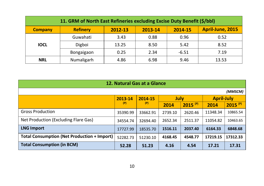| 11. GRM of North East Refineries excluding Excise Duty Benefit (\$/bbl) |                 |         |         |         |                  |  |  |  |  |
|-------------------------------------------------------------------------|-----------------|---------|---------|---------|------------------|--|--|--|--|
| <b>Company</b>                                                          | <b>Refinery</b> | 2012-13 | 2013-14 | 2014-15 | April-June, 2015 |  |  |  |  |
|                                                                         | Guwahati        | 3.43    | 0.88    | 0.96    | 0.52             |  |  |  |  |
| <b>IOCL</b>                                                             | Digboi          | 13.25   | 8.50    | 5.42    | 8.52             |  |  |  |  |
|                                                                         | Bongaigaon      | 0.25    | 2.34    | $-6.51$ | 7.19             |  |  |  |  |
| <b>NRL</b>                                                              | Numaligarh      | 4.86    | 6.98    | 9.46    | 13.53            |  |  |  |  |

| 12. Natural Gas at a Glance                        |          |                |         |                       |                   |                       |  |  |  |  |
|----------------------------------------------------|----------|----------------|---------|-----------------------|-------------------|-----------------------|--|--|--|--|
| (MMSCM)                                            |          |                |         |                       |                   |                       |  |  |  |  |
|                                                    | 2013-14  | 2014-15<br>(P) | July    |                       | <b>April-July</b> |                       |  |  |  |  |
|                                                    | (P)      |                | 2014    | $2015$ <sup>(P)</sup> | 2014              | $2015$ <sup>(P)</sup> |  |  |  |  |
| <b>Gross Production</b>                            | 35390.99 | 33662.91       | 2739.10 | 2620.46               | 11348.34          | 10865.54              |  |  |  |  |
| Net Production (Excluding Flare Gas)               | 34554.74 | 32694.40       | 2652.34 | 2511.37               | 11054.82          | 10463.65              |  |  |  |  |
| <b>LNG Import</b>                                  | 17727.99 | 18535.70       | 1516.11 | 2037.40               | 6164.33           | 6848.68               |  |  |  |  |
| <b>Total Consumption (Net Production + Import)</b> | 52282.73 | 51230.10       | 4168.45 | 4548.77               | 17219.15          | 17312.33              |  |  |  |  |
| <b>Total Consumption (in BCM)</b>                  | 52.28    | 51.23          | 4.16    | 4.54                  | 17.21             | 17.31                 |  |  |  |  |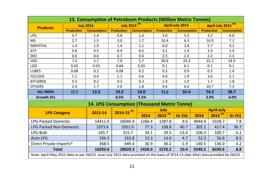|                                                                                                                                | 13. Consumption of Petroleum Products (Million Metric Tonnes) |                    |                            |                                                    |                   |                        |        |                       |                                |  |  |  |
|--------------------------------------------------------------------------------------------------------------------------------|---------------------------------------------------------------|--------------------|----------------------------|----------------------------------------------------|-------------------|------------------------|--------|-----------------------|--------------------------------|--|--|--|
| <b>Products</b>                                                                                                                |                                                               | <b>July 2014</b>   |                            | July 2015 <sup>(P)</sup>                           |                   | <b>April-July 2014</b> |        |                       | April-July 2015 <sup>(P)</sup> |  |  |  |
|                                                                                                                                | <b>Production</b>                                             | <b>Consumption</b> | <b>Production</b>          | <b>Consumption</b>                                 | <b>Production</b> | <b>Consumption</b>     |        | <b>Production</b>     | <b>Consumption</b>             |  |  |  |
| <b>LPG</b>                                                                                                                     | 0.7                                                           | 1.4                | 0.8                        | 1.6                                                | 3.0               | 5.5                    |        | 3.2                   | 6.0                            |  |  |  |
| <b>MS</b>                                                                                                                      | 2.7                                                           | 1.5                | 3.0                        | 1.7                                                | 10.4              | 6.3                    |        | 10.9                  | 7.1                            |  |  |  |
| <b>NAPHTHA</b>                                                                                                                 | 1.4                                                           | 1.0                | 1.4                        | 1.1                                                | 6.0               | 3.8                    |        | 5.7                   | 4.2                            |  |  |  |
| <b>ATF</b>                                                                                                                     | 0.8                                                           | 0.5                | 0.9                        | 0.5                                                | 3.2               | 1.9                    |        | 3.3                   | 1.9                            |  |  |  |
| <b>SKO</b>                                                                                                                     | 0.6                                                           | 0.6                | 0.7                        | 0.6                                                | 2.5               | 2.4                    |        | 2.4                   | 2.3                            |  |  |  |
| <b>HSD</b>                                                                                                                     | 7.4                                                           | 5.7                | 7.9                        | 5.7                                                | 30.6              | 24.3                   |        | 32.1                  | 24.9                           |  |  |  |
| LDO                                                                                                                            | 0.02                                                          | 0.03               | 0.04                       | 0.03                                               | 0.1               | 0.1                    |        | 0.1                   | 0.1                            |  |  |  |
| <b>LUBES</b>                                                                                                                   | 0.08                                                          | 0.2                | 0.08                       | 0.2                                                | 0.3               | 0.9                    |        | 0.3                   | 1.0                            |  |  |  |
| FO/LSHS                                                                                                                        | 1.1                                                           | 0.4                | 1.1                        | 0.6                                                | 4.0               | 1.9                    |        | 3.6                   | 2.1                            |  |  |  |
| <b>BITUMEN</b>                                                                                                                 | 0.3                                                           | 0.2                | 0.3                        | 0.3                                                | 1.9               | 1.9                    |        | 1.7                   | 1.8                            |  |  |  |
| <b>OTHERS</b>                                                                                                                  | 2.4                                                           | 1.7                | 3.0                        | 1.8                                                | 9.6               | 6.4                    |        | 10.7                  | 7.3                            |  |  |  |
| <b>ALL INDIA</b>                                                                                                               | 17.7                                                          | 13.3               | 19.2                       | 14.0                                               | 71.5              | 55.4                   |        | 74.2                  | 58.7                           |  |  |  |
| Growth (%)                                                                                                                     |                                                               |                    | 8.5%                       | 5.5%                                               |                   |                        |        | 3.9%                  | 6.0%                           |  |  |  |
|                                                                                                                                |                                                               |                    |                            | <b>14. LPG Consumption (Thousand Metric Tonne)</b> |                   |                        |        |                       |                                |  |  |  |
| <b>LPG Category</b>                                                                                                            |                                                               | 2013-14            | $2014 - 15$ <sup>(P)</sup> |                                                    | July              |                        |        | <b>April-July</b>     |                                |  |  |  |
|                                                                                                                                |                                                               |                    |                            | 2014                                               | $2015^{(P)}$      | Gr (%)                 | 2014   | $2015$ <sup>(P)</sup> | Gr (%)                         |  |  |  |
| LPG-Packed Domestic                                                                                                            |                                                               | 14411.6            | 16040.4                    | 1266.4                                             | 1387.8            | 9.6                    | 4944.9 | 5328.7                | 7.8                            |  |  |  |
| <b>LPG-Packed Non-Domestic</b>                                                                                                 |                                                               | 1073.6             | 1051.0                     | 77.3                                               | 108.8             | 40.7                   | 305.2  | 417.4                 | 36.7                           |  |  |  |
| LPG-Bulk                                                                                                                       |                                                               | 245.7              | 315.7                      | 34.1                                               | 29.5              | $-13.4$                | 106.3  | 100.7                 | $-5.2$                         |  |  |  |
| <b>Auto LPG</b>                                                                                                                |                                                               | 194.3              | 163.8                      | 13.3                                               | 14.0              | 4.7                    | 52.3   | 56.8                  | 8.5                            |  |  |  |
| Direct Private Imports*                                                                                                        |                                                               | 368.5              | 449.4                      | 36.9                                               | 36.2              | $-1.9$                 | 140.5  | 136.0                 | $-3.2$                         |  |  |  |
| <b>Total</b>                                                                                                                   |                                                               | 16293.6            | 18020.3                    | 1428.0                                             | 1576.2            | 10.4                   | 5549.2 | 6039.6                | 8.8                            |  |  |  |
| Note: April-May 2015 data as per DGCIS. June-July 2015 data prorated on the basis of 2014-15 (Apr-Mar) data provided by DGCIS. |                                                               |                    |                            |                                                    |                   |                        |        |                       |                                |  |  |  |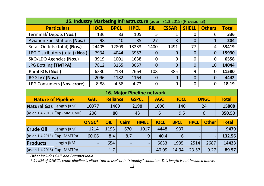|                                      | 15. Industry Marketing Infrastructure (as on 31.3.2015) (Provisional) |             |             |            |              |              |               |              |  |  |  |  |  |
|--------------------------------------|-----------------------------------------------------------------------|-------------|-------------|------------|--------------|--------------|---------------|--------------|--|--|--|--|--|
| <b>Particulars</b>                   | <b>IOCL</b>                                                           | <b>BPCL</b> | <b>HPCL</b> | <b>RIL</b> | <b>ESSAR</b> | <b>SHELL</b> | <b>Others</b> | <b>Total</b> |  |  |  |  |  |
| Terminal/Depots (Nos.)               | 136                                                                   | 83          | 105         | 5          |              | 0            | 6             | 336          |  |  |  |  |  |
| <b>Aviation Fuel Stations (Nos.)</b> | 98                                                                    | 40          | 35          | 27         | 3            | 0            |               | 204          |  |  |  |  |  |
| Retail Outlets (total) (Nos.)        | 24405                                                                 | 12809       | 13233       | 1400       | 1491         | 77           | 4             | 53419        |  |  |  |  |  |
| LPG Distributors (total) (Nos.)      | 7934                                                                  | 4044        | 3952        | 0          | 0            | $\Omega$     |               | 15930        |  |  |  |  |  |
| SKO/LDO Agencies (Nos.)              | 3919                                                                  | 1001        | 1638        | 0          | $\Omega$     | 0            |               | 6558         |  |  |  |  |  |
| LPG Bottling (TMTPA)                 | 7812                                                                  | 3165        | 3057        | 0          | $\Omega$     | $\Omega$     | 10            | 14044        |  |  |  |  |  |
| Rural ROs (Nos.)                     | 6230                                                                  | 2184        | 2664        | 108        | 385          | 9            |               | 11580        |  |  |  |  |  |
| RGGLVY (Nos.)                        | 2096                                                                  | 1182        | 1164        | $\Omega$   | 0            | $\Omega$     | $\Omega$      | 4442         |  |  |  |  |  |
| LPG Consumers (Nos. crore)           | 8.88                                                                  | 4.58        | 4.73        | 0          | 0            | 0            |               | 18.19        |  |  |  |  |  |

| 16. Major Pipeline network     |                                       |             |                                               |      |             |             |              |        |  |  |
|--------------------------------|---------------------------------------|-------------|-----------------------------------------------|------|-------------|-------------|--------------|--------|--|--|
| <b>Nature of Pipeline</b>      |                                       | <b>GAIL</b> | <b>Reliance</b><br><b>AGC</b><br><b>GSPCL</b> |      | <b>IOCL</b> | <b>ONGC</b> | <b>Total</b> |        |  |  |
| <b>Natural Gas Length (KM)</b> |                                       | 10977       | 1469                                          | 2198 | 1000        | 140         | 24           | 15808  |  |  |
|                                | (as on 1.4.2015) $\vert$ Cap (MMSCMD) | 206         | 80                                            | 43   |             | 9.5         |              | 350.50 |  |  |

|                              |             | ONGC*                    | OIL  | Cairn                    | <b>HMEL</b> | <b>IOCL</b> | <b>BPCL</b> | <b>HPCL</b> | <b>Other</b> | <b>Total</b> |
|------------------------------|-------------|--------------------------|------|--------------------------|-------------|-------------|-------------|-------------|--------------|--------------|
| <b>Crude Oil</b>             | Length (KM) | 1214                     | 1193 | 670                      | 1017        | 4448        | 937         |             |              | 9479         |
| (as on 1.4.2015) Cap (MMTPA) |             | 60.06                    | 8.4  | 8.7                      |             | 40.4        |             |             |              | 132.56       |
| <b>Products</b>              | Length (KM) |                          | 654  |                          | -           | 6633        | 1935        | 2514        | 2687         | 14423        |
| (as on 1.4.2015) Cap (MMTPA) |             | $\overline{\phantom{0}}$ |      | $\overline{\phantom{0}}$ | -           | 40.09       | 14.94       | 23.57       | 9.27         | 89.57        |

*Other includes GAIL and Petronet India*

*\* 94 KM of ONGC's crude pipeline is either "not in use" or in "standby" condition. This length is not included above.*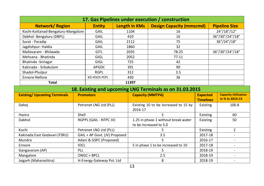| 17. Gas Pipelines under execution / construction         |             |                               |       |                      |                                      |                  |  |                             |  |  |
|----------------------------------------------------------|-------------|-------------------------------|-------|----------------------|--------------------------------------|------------------|--|-----------------------------|--|--|
| <b>Network/Region</b>                                    |             | <b>Entity</b>                 |       | <b>Length in KMs</b> | <b>Design Capacity (mmscmd)</b>      |                  |  | <b>Pipeline Size</b>        |  |  |
| Kochi-Kottanad-Bengaluru-Mangalore                       |             | GAIL                          |       | 1104                 | 16                                   |                  |  | 24"/18"/12"                 |  |  |
| Dabhol -Bengaluru (DBPL)                                 |             | GAIL                          |       | 410                  | 16                                   |                  |  | 36"/30"/24"/18"             |  |  |
| Surat - Paradip                                          |             | GAIL                          |       | 2112<br>75           |                                      |                  |  | 36"/24"/18"                 |  |  |
| Jagdishpur-Haldia                                        |             | GAIL                          |       | 1860                 | 32                                   |                  |  |                             |  |  |
| Mallavaram - Bhilwada                                    |             | GITL                          |       | 2035                 | 78.25                                |                  |  | 36"/30"/24"/18"             |  |  |
| Mehsana - Bhatinda                                       |             | GIGL                          |       | 2052                 | 77.11                                |                  |  |                             |  |  |
| Bhatinda - Srinagar                                      |             | GIGL                          |       | 725                  | 42                                   |                  |  |                             |  |  |
| Kakinada - Srikakulam                                    |             | <b>APGDC</b>                  |       | 391                  | 90                                   |                  |  |                             |  |  |
| Shadol-Phulpur                                           |             | <b>RGPL</b>                   |       | 312                  | 3.5                                  |                  |  |                             |  |  |
| Ennore-Nellore                                           |             | <b>KEI-RSOS PEPL</b>          | 430   |                      | 36                                   |                  |  |                             |  |  |
| <b>Total</b>                                             |             |                               | 11397 |                      |                                      |                  |  |                             |  |  |
| 18. Existing and upcoming LNG Terminals as on 31.03.2015 |             |                               |       |                      |                                      |                  |  |                             |  |  |
| <b>Existing/ Upcoming Terminals</b>                      |             | <b>Promotors</b>              |       |                      | <b>Capacity (MMTPA)</b>              | <b>Expected</b>  |  | <b>Capacity Utilisation</b> |  |  |
|                                                          |             |                               |       |                      |                                      | <b>Timelines</b> |  | in % in 2014-15             |  |  |
| Dahej                                                    |             | Petronet LNG Ltd (PLL)        |       |                      | Existing 10 to be increased to 15 by | Existing         |  | 100.8                       |  |  |
|                                                          |             |                               |       | 2016-17              |                                      |                  |  |                             |  |  |
| Hazira                                                   | Shell       |                               |       |                      | 5                                    | Existing         |  | 60                          |  |  |
| Dabhol                                                   |             | RGPPL (GAIL - NTPC JV)        |       |                      | 1.25 in phase-1 without break water  | Existing         |  | 50                          |  |  |
|                                                          |             |                               |       |                      | to be increased to 5.0               |                  |  |                             |  |  |
| Kochi                                                    |             | Petronet LNG Ltd (PLL)        |       |                      | 5                                    | Existing         |  | $\overline{2}$              |  |  |
| Kakinada East Godavari (FSRU)                            |             | GAIL + AP Govt. (JV) Proposed |       |                      | 3.5                                  | 2017-18          |  | $\sim$                      |  |  |
| Mundra                                                   |             | Adani & GSPC (Proposed)       |       |                      | 5                                    | 2016-17          |  | ٠                           |  |  |
| Ennore                                                   | <b>IOCL</b> |                               |       |                      | 5 in phase 1 to be increased to 10   | 2017-18          |  | $\blacksquare$              |  |  |
| Gangavaram (AP)                                          | PLL         |                               |       |                      | 5                                    | 2018-19          |  | ÷,                          |  |  |
| Mangalore                                                |             | ONGC + BPCL                   |       |                      | 2.5                                  | 2018-19          |  | ä,                          |  |  |
| Jaigarh (Maharashtra)                                    |             | H-Energy Gateway Pvt. Ltd     |       |                      | 2018-19                              |                  |  |                             |  |  |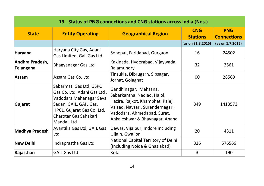|                                     |                                                                                                                                                                                   | 19. Status of PNG connections and CNG stations across India (Nos.)                                                                                                                           |                               |                                  |
|-------------------------------------|-----------------------------------------------------------------------------------------------------------------------------------------------------------------------------------|----------------------------------------------------------------------------------------------------------------------------------------------------------------------------------------------|-------------------------------|----------------------------------|
| <b>State</b>                        | <b>Entity Operating</b>                                                                                                                                                           | <b>Geographical Region</b>                                                                                                                                                                   | <b>CNG</b><br><b>Stations</b> | <b>PNG</b><br><b>Connections</b> |
|                                     |                                                                                                                                                                                   |                                                                                                                                                                                              | (as on 31.3.2015)             | (as on 1.7.2015)                 |
| Haryana                             | Haryana City Gas, Adani<br>Gas Limited, Gail Gas Ltd.                                                                                                                             | Sonepat, Faridabad, Gurgaon                                                                                                                                                                  | 16                            | 24502                            |
| Andhra Pradesh,<br><b>Telangana</b> | Bhagyanagar Gas Ltd                                                                                                                                                               | Kakinada, Hyderabad, Vijaywada,<br>Rajamundry                                                                                                                                                | 32                            | 3561                             |
| Assam                               | Assam Gas Co. Ltd                                                                                                                                                                 | Tinsukia, Dibrugarh, Sibsagar,<br>Jorhat, Golaghat                                                                                                                                           | $00\,$                        | 28569                            |
| Gujarat                             | Sabarmati Gas Ltd, GSPC<br>Gas Co. Ltd, Adani Gas Ltd,<br>Vadodara Mahanagar Seva<br>Sadan, GAIL, GAIL Gas,<br>HPCL, Gujarat Gas Co. Ltd,<br>Charotar Gas Sahakari<br>Mandali Ltd | Gandhinagar, Mehsana,<br>Sabarkantha, Nadiad, Halol,<br>Hazira, Rajkot, Khambhat, Palej,<br>Valsad, Navsari, Surendernagar,<br>Vadodara, Ahmedabad, Surat,<br>Ankaleshwar & Bhavnagar, Anand | 349                           | 1413573                          |
| <b>Madhya Pradesh</b>               | Avantika Gas Ltd, GAIL Gas<br>Ltd                                                                                                                                                 | Dewas, Vijaipur, Indore including<br>Ujjain, Gwalior                                                                                                                                         | 20                            | 4311                             |
| <b>New Delhi</b>                    | Indraprastha Gas Ltd                                                                                                                                                              | National Capital Territory of Delhi<br>(Including Noida & Ghaziabad)                                                                                                                         | 326                           | 576566                           |
| Rajasthan                           | <b>GAIL Gas Ltd</b>                                                                                                                                                               | Kota                                                                                                                                                                                         | 3                             | 190                              |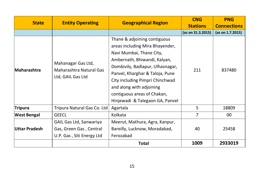|                    |                                                                                 |                                                                                                                                                                                                                                                                                                                                     | <b>CNG</b>        | <b>PNG</b>         |
|--------------------|---------------------------------------------------------------------------------|-------------------------------------------------------------------------------------------------------------------------------------------------------------------------------------------------------------------------------------------------------------------------------------------------------------------------------------|-------------------|--------------------|
| <b>State</b>       | <b>Entity Operating</b>                                                         | <b>Geographical Region</b>                                                                                                                                                                                                                                                                                                          | <b>Stations</b>   | <b>Connections</b> |
|                    |                                                                                 |                                                                                                                                                                                                                                                                                                                                     | (as on 31.3.2015) | (as on 1.7.2015)   |
| Maharashtra        | Mahanagar Gas Ltd,<br>Maharashtra Natural Gas<br>Ltd, GAIL Gas Ltd              | Thane & adjoining contiguous<br>areas including Mira Bhayender,<br>Navi Mumbai, Thane City,<br>Ambernath, Bhiwandi, Kalyan,<br>Dombivily, Badlapur, Ulhasnagar,<br>Panvel, Kharghar & Taloja, Pune<br>City including Pimpri Chinchwad<br>and along with adjoining<br>contiguous areas of Chakan,<br>Hinjewadi & Talegaon GA, Panvel | 211               | 837480             |
| <b>Tripura</b>     | Tripura Natural Gas Co. Ltd                                                     | Agartala                                                                                                                                                                                                                                                                                                                            | 5                 | 18809              |
| <b>West Bengal</b> | <b>GEECL</b>                                                                    | Kolkata                                                                                                                                                                                                                                                                                                                             | 7                 | 00                 |
| Uttar Pradesh      | GAIL Gas Ltd, Sanwariya<br>Gas, Green Gas, Central<br>U.P. Gas, Siti Energy Ltd | Meerut, Mathura, Agra, Kanpur,<br>Bareilly, Lucknow, Moradabad,<br>Ferozabad                                                                                                                                                                                                                                                        | 40                | 25458              |
|                    |                                                                                 | <b>Total</b>                                                                                                                                                                                                                                                                                                                        | 1009              | 2933019            |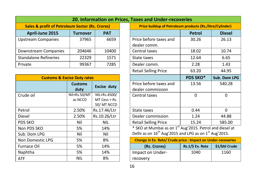|                                                            | 20. Information on Prices, Taxes and Under-recoveries |            |  |                                                          |        |              |  |  |  |  |  |  |
|------------------------------------------------------------|-------------------------------------------------------|------------|--|----------------------------------------------------------|--------|--------------|--|--|--|--|--|--|
| <b>Sales &amp; profit of Petroleum Sector (Rs. Crores)</b> |                                                       |            |  | Price buildup of Petroleum products (Rs./litre/Cylinder) |        |              |  |  |  |  |  |  |
| April-June 2015                                            | <b>Turnover</b>                                       | <b>PAT</b> |  |                                                          | Petrol | <b>Diese</b> |  |  |  |  |  |  |
| <b>Upstream Companies</b>                                  | 37965                                                 | 6659       |  | Price before taxes and<br>dealer comm.                   | 30.26  | 26.13        |  |  |  |  |  |  |
| Downstream Companies                                       | 204646                                                | 10400      |  | Central taxes                                            | 18.02  | 10.74        |  |  |  |  |  |  |
| <b>Standalone Refineries</b>                               | 22329                                                 | 1571       |  | State taxes                                              | 12.64  | 6.65         |  |  |  |  |  |  |
| Private                                                    | 99367                                                 | 7285       |  | Dealer comm.                                             | 2.28   | 1.43         |  |  |  |  |  |  |

| <b>Customs &amp; Excise Duty rates</b> |                |                    |                                                                               | PDS SKO*           | Sub. Dom LI  |
|----------------------------------------|----------------|--------------------|-------------------------------------------------------------------------------|--------------------|--------------|
|                                        | <b>Customs</b> | <b>Excise duty</b> | Price before taxes and                                                        | 13.56              | 540.28       |
|                                        | duty           |                    | dealer commission                                                             |                    |              |
| Crude oil                              | Nil+Rs.50/MT   | NIL+Rs.4500/       | Central taxes                                                                 | $\Omega$           | 0            |
|                                        | as NCCD        | MT Cess + Rs.      |                                                                               |                    |              |
|                                        |                | 50/MT NCCD         |                                                                               |                    |              |
| Petrol                                 | 2.50%          | Rs.17.46/Ltr       | State taxes                                                                   | 0.44               | $\mathbf{0}$ |
| <b>Diesel</b>                          | 2.50%          | Rs.10.26/Ltr       | Dealer commission                                                             | 1.24               | 44.88        |
| PDS SKO                                | Nil            | <b>NIL</b>         | <b>Retail Selling Price</b>                                                   | 15.24              | 585.00       |
| Non PDS SKO                            | 5%             | 14%                | * SKO at Mumbai as on 1 <sup>st</sup> Aug'2015. Petrol and diesel at          |                    |              |
| Sub. Dom LPG                           | Nil            | Nil                | Delhi as on 16 <sup>th</sup> Aug'2015 and LPG as on 1 <sup>st</sup> Aug'2015. |                    |              |
| Non Domestic LPG                       | 5%             | 8%                 | <b>Change in Ex. Rate/ Crude price : Impact on Under-recoveries</b>           |                    |              |
| <b>Furnace Oil</b>                     | 5%             | 14%                | (Rs. Crores)                                                                  | $Rs.1/\$$ Ex. Rate | \$1/bbl Crud |
| Naphtha                                | 5%             | 14%                | Impact on Under-                                                              | 1040               | 1160         |
| <b>ATF</b>                             | NIL            | 8%                 | recovery                                                                      |                    |              |

|                                                            |                 |                    |                                                                 | zu. information on Prices, Taxes and Under-recoveries |                 |               |  |
|------------------------------------------------------------|-----------------|--------------------|-----------------------------------------------------------------|-------------------------------------------------------|-----------------|---------------|--|
| <b>Sales &amp; profit of Petroleum Sector (Rs. Crores)</b> |                 |                    | <b>Price buildup of Petroleum products (Rs./litre/Cylinder)</b> |                                                       |                 |               |  |
| April-June 2015                                            | <b>Turnover</b> | <b>PAT</b>         |                                                                 |                                                       | <b>Petrol</b>   | <b>Diesel</b> |  |
| <b>Upstream Companies</b>                                  | 6659<br>37965   |                    |                                                                 | Price before taxes and                                | 30.26           | 26.13         |  |
|                                                            |                 |                    |                                                                 | dealer comm.                                          |                 |               |  |
| Downstream Companies                                       | 204646          | 10400              |                                                                 | Central taxes                                         | 18.02           | 10.74         |  |
| <b>Standalone Refineries</b>                               | 22329           | 1571               |                                                                 | State taxes                                           | 12.64           | 6.65          |  |
| Private                                                    | 7285<br>99367   |                    |                                                                 | Dealer comm.                                          | 2.28            | 1.43          |  |
|                                                            |                 |                    |                                                                 | <b>Retail Selling Price</b>                           | 63.20           | 44.95         |  |
| <b>Customs &amp; Excise Duty rates</b>                     |                 |                    |                                                                 |                                                       | <b>PDS SKO*</b> | Sub. Dom LPG  |  |
|                                                            | <b>Customs</b>  | <b>Excise duty</b> |                                                                 | Price before taxes and                                | 13.56           | 540.28        |  |
|                                                            | duty            |                    |                                                                 | dealer commission                                     |                 |               |  |
| Crude oil                                                  | Nil+Rs.50/MT    | NIL+Rs.4500/       |                                                                 | Central taxes                                         | $\mathbf{0}$    | 0             |  |
|                                                            | as NCCD         | $MT Cess + Rs.$    |                                                                 |                                                       |                 |               |  |
|                                                            |                 | 50/MT NCCD         |                                                                 |                                                       |                 |               |  |
| Petrol                                                     | 2.50%           | Rs.17.46/Ltr       |                                                                 | State taxes                                           | 0.44            | $\Omega$      |  |
| Diesel                                                     | 2.50%           | Rs.10.26/Ltr       |                                                                 | Dealer commission                                     | 1.24            | 44.88         |  |
| PDS SKO                                                    | Nil             | NIL.               |                                                                 | <b>Retail Selling Price</b>                           | 15.24           | 585.00        |  |
|                                                            | -- -            |                    | ہ st۔<br>$1001 - 201$                                           | $\cdots$                                              |                 |               |  |

| Non Domestic LPG | 5%         | 8%  | <b>Change in Ex. Rate/ Crude price : Impact on Under-recoveries</b> |                  |               |  |  |
|------------------|------------|-----|---------------------------------------------------------------------|------------------|---------------|--|--|
| Furnace Oil      | 5%         | 14% | (Rs. Crores)                                                        | Rs.1/\$ Ex. Rate | \$1/bbl Crude |  |  |
| Naphtha          | 5%         | 14% | Impact on Under-                                                    | 1040             | 1160          |  |  |
| ATF              | <b>NIL</b> | 8%  | recovery                                                            |                  |               |  |  |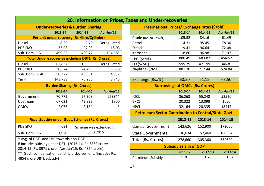|                                                                                                                 |         |                                                           |                          | 20. Information on Prices, Taxes and Under-recoveries      |                              |         |           |  |
|-----------------------------------------------------------------------------------------------------------------|---------|-----------------------------------------------------------|--------------------------|------------------------------------------------------------|------------------------------|---------|-----------|--|
|                                                                                                                 |         | <b>Under-recoveries &amp; Burden Sharing</b>              |                          | International Prices/ Exchange rates (\$/bbl)              |                              |         |           |  |
|                                                                                                                 | 2013-14 | 2014 15                                                   | Apr-Jun'15               | 2013-14<br>2014-15                                         |                              |         |           |  |
|                                                                                                                 |         | Per unit under-recovery (Rs./litre/Cylinder)              |                          | Crude (Indian Basket)                                      | 105.52                       | 84.16   | 61.49     |  |
| <b>Diesel</b>                                                                                                   | 8.39    | 2.70                                                      | Deregulated              | Petrol                                                     | 114.31                       | 95.45   | 78.36     |  |
| PDS SKO                                                                                                         | 33.98   | 27.93                                                     | 18.03                    | <b>Diesel</b>                                              | 119.41                       | 96.64   | 72.08     |  |
| Sub. Dom LPG                                                                                                    | 499.52  | 409.72                                                    | 194.58*                  | Kerosene                                                   | 118.80                       | 96.98   | 71.97     |  |
|                                                                                                                 |         | <b>Total Under-recoveries including DBTL (Rs. Crores)</b> |                          | 880.49<br>683.87<br>LPG (\$/MT)                            |                              |         |           |  |
| <b>Diesel</b>                                                                                                   | 62,837  | 10,935                                                    | Deregulated              | FO (\$/MT)                                                 | 595.79                       | 471.99  | 346.81    |  |
| PDS SKO                                                                                                         | 30,574  | 24,799                                                    | 3,888                    | Naphtha (\$/MT)                                            | 881.30                       | 717.44  | 524.84    |  |
| Sub. Dom LPG#                                                                                                   | 50,327  | 40,551                                                    | 4,857                    |                                                            |                              |         |           |  |
| Total                                                                                                           | 143,738 | 76,285                                                    | 8,745                    | Exchange (Rs./\$)                                          | 60.50                        | 61.15   | 63.50     |  |
| <b>Burden Sharing (Rs. Crores)</b>                                                                              |         |                                                           |                          | <b>Borrowings of OMCs (Rs. Crores)</b>                     |                              |         |           |  |
|                                                                                                                 | 2013-14 | 2014-15                                                   | Apr-Jun'15               |                                                            | 2013-14                      | 2014-15 | Apr-Jun'1 |  |
| Government                                                                                                      | 70,772  | 27,308                                                    | 2588 **                  | <b>IOCL</b>                                                | 86,263                       | 55,248  | 52520     |  |
| Upstream                                                                                                        | 67,021  | 42,822                                                    | 1300                     | <b>BPCL</b>                                                | 20,322                       | 13,098  |           |  |
| <b>OMCs</b>                                                                                                     | 2,076   | 2,184                                                     | 3                        | <b>HPCL</b>                                                | 32,164                       | 20,335  | 18417     |  |
|                                                                                                                 |         |                                                           |                          | <b>Petroleum Sector Contribution to Central/State Govt</b> |                              |         |           |  |
|                                                                                                                 |         | <b>Fiscal Subsidy under Govt. Schemes (Rs. Crores)</b>    |                          |                                                            | 2012-13                      | 2013-14 | 2014-1!   |  |
| PDS SKO                                                                                                         | 681     |                                                           | Scheme was extended till | <b>Central Government</b>                                  | 142,626                      | 152,900 | 172066    |  |
| Sub. Dom LPG                                                                                                    | 1.920   |                                                           | 31.3.2015                | <b>State Governments</b>                                   | 136,034                      | 152,460 | 160554    |  |
| * Avg. of DBTL and U/R towards non-DBTL                                                                         |         |                                                           |                          | Total (Rs. Crores)                                         | 278,660                      | 305,360 | 332620    |  |
| # Includes subsidy under DBTL (2013-14: Rs.3869 crore;<br>2014-15: Rs. 3971 crore ; Apr-Jun'15: Rs. 4854 crore) |         |                                                           |                          |                                                            | <b>Subsidy as a % of GDP</b> |         |           |  |
|                                                                                                                 |         |                                                           |                          |                                                            | 2011-12                      | 2012-13 |           |  |
| ** Govt. compensation pending disbursement. (includes Rs.<br>4854 crore DBTL subsidy)                           |         |                                                           | Petroleum Subsidy        | 1.70                                                       | 1.75                         |         |           |  |

| 20. Information on Prices, Taxes and Under-recoveries                                                |                                              |                                                        |                          |                                        |                                                             |         |         |            |  |
|------------------------------------------------------------------------------------------------------|----------------------------------------------|--------------------------------------------------------|--------------------------|----------------------------------------|-------------------------------------------------------------|---------|---------|------------|--|
|                                                                                                      | <b>Under-recoveries &amp; Burden Sharing</b> |                                                        |                          |                                        | International Prices/ Exchange rates (\$/bbl)               |         |         |            |  |
|                                                                                                      | 2013-14                                      | 2014-15                                                | Apr-Jun'15               |                                        |                                                             | 2013-14 | 2014-15 | Apr-Jun'15 |  |
|                                                                                                      |                                              | Per unit under-recovery (Rs./litre/Cylinder)           |                          |                                        | Crude (Indian Basket)                                       | 105.52  | 84.16   | 61.49      |  |
|                                                                                                      | 8.39                                         | 2.70                                                   | Deregulated              |                                        | Petrol                                                      | 114.31  | 95.45   | 78.36      |  |
| КO                                                                                                   | 33.98                                        | 27.93                                                  | 18.03                    |                                        | Diesel                                                      | 119.41  | 96.64   | 72.08      |  |
| Oom LPG                                                                                              | 499.52                                       | 409.72                                                 | 194.58*                  |                                        | Kerosene                                                    | 118.80  | 96.98   | 71.97      |  |
| <b>Total Under-recoveries including DBTL (Rs. Crores)</b>                                            |                                              |                                                        |                          | LPG (\$/MT)                            | 880.49                                                      | 683.87  | 454.52  |            |  |
|                                                                                                      | 62,837                                       | 10,935                                                 | Deregulated              |                                        | FO(S/MT)                                                    | 595.79  | 471.99  | 346.81     |  |
| КO                                                                                                   | 30,574                                       | 24,799                                                 | 3,888                    |                                        | Naphtha (\$/MT)                                             | 881.30  | 717.44  | 524.84     |  |
| Oom LPG#                                                                                             | 50,327                                       | 40,551                                                 | 4,857                    |                                        |                                                             |         |         |            |  |
|                                                                                                      | 143,738                                      | 76,285                                                 | 8,745                    |                                        | Exchange (Rs./\$)                                           | 60.50   | 61.15   | 63.50      |  |
| <b>Burden Sharing (Rs. Crores)</b>                                                                   |                                              |                                                        |                          | <b>Borrowings of OMCs (Rs. Crores)</b> |                                                             |         |         |            |  |
|                                                                                                      | 2013-14                                      | 2014-15                                                | Apr-Jun'15               |                                        |                                                             | 2013-14 | 2014-15 | Apr-Jun'15 |  |
| rnment                                                                                               | 70,772                                       | 27,308                                                 | 2588**                   |                                        | <b>IOCL</b>                                                 | 86,263  | 55,248  | 52520      |  |
| eam                                                                                                  | 67,021                                       | 42,822                                                 | 1300                     |                                        | <b>BPCL</b>                                                 | 20,322  | 13,098  | 1650       |  |
|                                                                                                      | 2,076                                        | 2,184                                                  | <b>HPCL</b><br>3         |                                        | 32,164                                                      | 20,335  | 18417   |            |  |
|                                                                                                      |                                              |                                                        |                          |                                        | <b>Petroleum Sector Contribution to Central/State Govt.</b> |         |         |            |  |
|                                                                                                      |                                              | <b>Fiscal Subsidy under Govt. Schemes (Rs. Crores)</b> |                          |                                        |                                                             | 2012-13 | 2013-14 | 2014-15    |  |
| КO                                                                                                   | 681                                          |                                                        | Scheme was extended till |                                        | <b>Central Government</b>                                   | 142,626 | 152,900 | 172066     |  |
| Oom LPG                                                                                              | 1,920                                        |                                                        | 31.3.2015                |                                        | <b>State Governments</b>                                    | 136,034 | 152,460 | 160554     |  |
| . of DBTL and U/R towards non-DBTL                                                                   |                                              |                                                        |                          |                                        | Total (Rs. Crores)                                          | 278,660 | 305,360 | 332620     |  |
| udes subsidy under DBTL (2013-14: Rs.3869 crore;<br>15: Rs. 3971 crore ; Apr-Jun'15: Rs. 4854 crore) |                                              |                                                        |                          | <b>Subsidy as a % of GDP</b>           |                                                             |         |         |            |  |
|                                                                                                      |                                              |                                                        |                          |                                        |                                                             | 2011-12 | 2012-13 | 2013-14    |  |
| ovt. compensation pending disbursement. (includes Rs.<br>crore DBTL subsidy)                         |                                              |                                                        |                          | Petroleum Subsidy                      | 1.70                                                        | 1.75    | 1.37    |            |  |